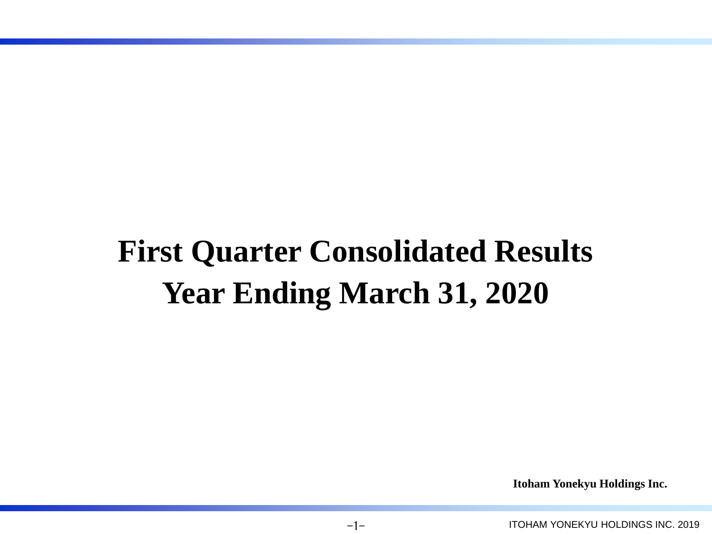# **First Quarter Consolidated Results Year Ending March 31, 2020**

**Itoham Yonekyu Holdings Inc.**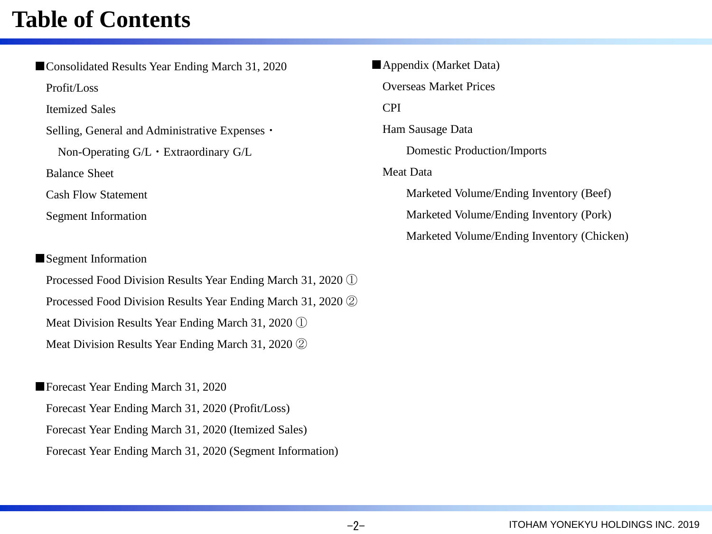## **Table of Contents**

■Consolidated Results Year Ending March 31, 2020 Profit/Loss Itemized Sales Selling, General and Administrative Expenses・ Non-Operating G/L・Extraordinary G/L Balance Sheet Cash Flow Statement Segment Information

### ■Segment Information

Processed Food Division Results Year Ending March 31, 2020 ① Processed Food Division Results Year Ending March 31, 2020 ② Meat Division Results Year Ending March 31, 2020 ① Meat Division Results Year Ending March 31, 2020 ②

■Forecast Year Ending March 31, 2020 Forecast Year Ending March 31, 2020 (Profit/Loss) Forecast Year Ending March 31, 2020 (Itemized Sales) Forecast Year Ending March 31, 2020 (Segment Information) ■Appendix (Market Data) Overseas Market Prices CPI Ham Sausage Data Domestic Production/Imports Meat Data Marketed Volume/Ending Inventory (Beef) Marketed Volume/Ending Inventory (Pork) Marketed Volume/Ending Inventory (Chicken)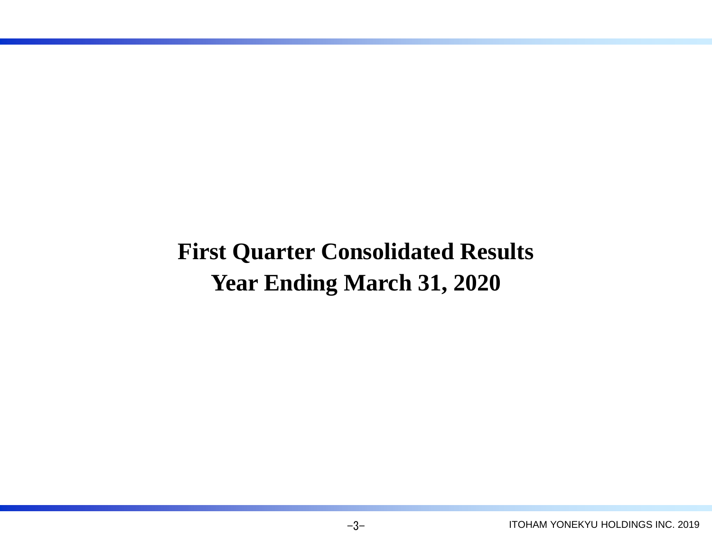## **First Quarter Consolidated Results Year Ending March 31, 2020**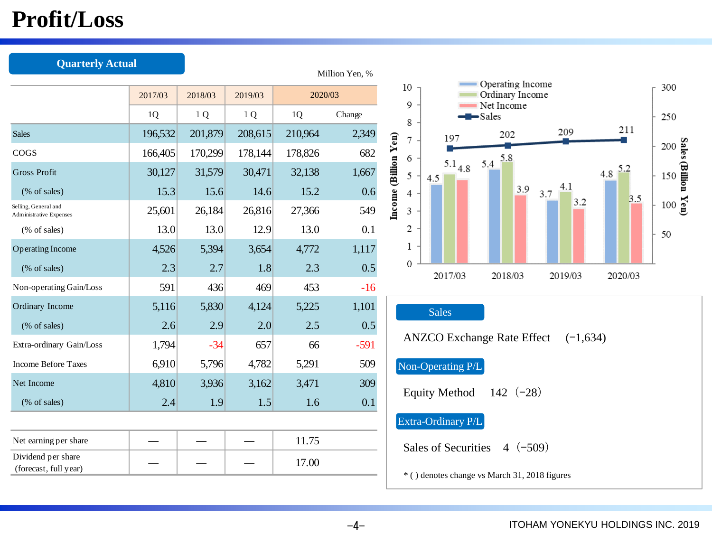## **Profit/Loss**

| <b>Quarterly Actual</b>                         |         |         |                |         |                |                           |                            |             |                                               |            |            |     |
|-------------------------------------------------|---------|---------|----------------|---------|----------------|---------------------------|----------------------------|-------------|-----------------------------------------------|------------|------------|-----|
|                                                 |         |         |                |         | Million Yen, % | 10                        |                            |             | Operating Income                              |            |            | 300 |
|                                                 | 2017/03 | 2018/03 | 2019/03        | 2020/03 |                | 9                         |                            |             | Ordinary Income<br>Net Income                 |            |            |     |
|                                                 | 1Q      | 1Q      | 1 <sub>Q</sub> | 1Q      | Change         | 8                         |                            |             | -Sales                                        |            |            | 250 |
| <b>Sales</b>                                    | 196,532 | 201,879 | 208,615        | 210,964 | 2,349          | 7                         |                            | 197         | 202                                           | 209        | 211        |     |
| COGS                                            | 166,405 | 170,299 | 178,144        | 178,826 | 682            | 6                         |                            |             | 5.8                                           |            |            |     |
| <b>Gross Profit</b>                             | 30,127  | 31,579  | 30,471         | 32,138  | 1,667          | Income (Billion Yen)<br>5 | 4.5                        | $5.1_{4.8}$ | 5.4                                           |            | 5.2<br>4.8 |     |
| (% of sales)                                    | 15.3    | 15.6    | 14.6           | 15.2    | 0.6            | 4                         |                            |             | 3.9                                           | 4.1<br>3.7 | 3.5        |     |
| Selling, General and<br>Administrative Expenses | 25,601  | 26,184  | 26,816         | 27,366  | 549            | 3                         |                            |             |                                               | 3.2        |            |     |
| (% of sales)                                    | 13.0    | 13.0    | 12.9           | 13.0    | 0.1            | 2                         |                            |             |                                               |            |            | 50  |
| <b>Operating Income</b>                         | 4,526   | 5,394   | 3,654          | 4,772   | 1,117          | 1                         |                            |             |                                               |            |            |     |
| (% of sales)                                    | 2.3     | 2.7     | 1.8            | 2.3     | 0.5            | 0                         |                            | 2017/03     | 2018/03                                       | 2019/03    | 2020/03    |     |
| Non-operating Gain/Loss                         | 591     | 436     | 469            | 453     | $-16$          |                           |                            |             |                                               |            |            |     |
| Ordinary Income                                 | 5,116   | 5,830   | 4,124          | 5,225   | 1,101          |                           | <b>Sales</b>               |             |                                               |            |            |     |
| (% of sales)                                    | 2.6     | 2.9     | 2.0            | 2.5     | 0.5            |                           |                            |             |                                               |            |            |     |
| Extra-ordinary Gain/Loss                        | 1,794   | $-34$   | 657            | 66      | $-591$         |                           |                            |             | <b>ANZCO Exchange Rate Effect</b>             | $(-1,634)$ |            |     |
| <b>Income Before Taxes</b>                      | 6,910   | 5,796   | 4,782          | 5,291   | 509            |                           | Non-Operating P/L          |             |                                               |            |            |     |
| Net Income                                      | 4,810   | 3,936   | 3,162          | 3,471   | 309            |                           |                            |             |                                               |            |            |     |
| (% of sales)                                    | 2.4     | 1.9     | 1.5            | 1.6     | 0.1            |                           | <b>Equity Method</b>       |             | 142 $(-28)$                                   |            |            |     |
|                                                 |         |         |                |         |                |                           | Extra-Ordinary P/L         |             |                                               |            |            |     |
| Net earning per share                           |         |         |                | 11.75   |                |                           | <b>Sales of Securities</b> |             | $4(-509)$                                     |            |            |     |
| Dividend per share<br>(forecast, full year)     |         |         |                | 17.00   |                |                           |                            |             | * () denotes change vs March 31, 2018 figures |            |            |     |

#### ITOHAM YONEKYU HOLDINGS INC. 2019

 $-4-$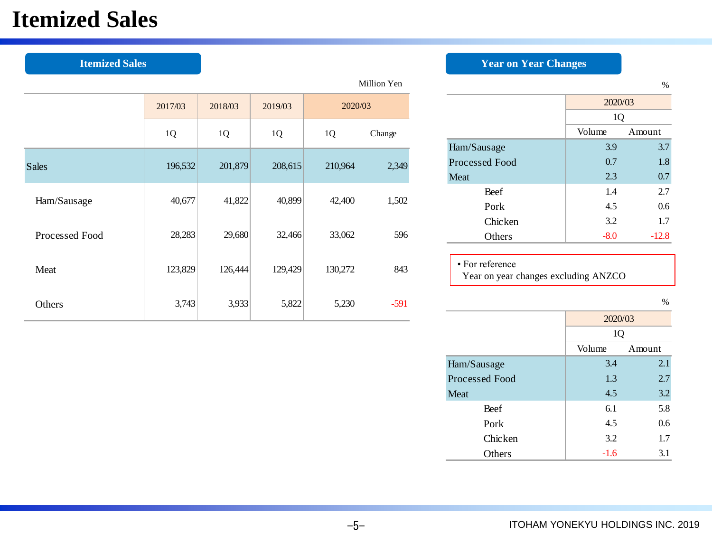## **Itemized Sales**

|                |         |         |         |         | Million Yen |                                                         |         | %       |
|----------------|---------|---------|---------|---------|-------------|---------------------------------------------------------|---------|---------|
|                | 2017/03 | 2018/03 | 2019/03 | 2020/03 |             |                                                         | 2020/03 |         |
|                |         |         |         |         |             |                                                         | 1Q      |         |
|                | 1Q      | 1Q      | 1Q      | 1Q      | Change      |                                                         | Volume  | Amount  |
|                |         |         |         |         |             | Ham/Sausage                                             | 3.9     | 3.7     |
| <b>Sales</b>   | 196,532 | 201,879 | 208,615 | 210,964 | 2,349       | Processed Food                                          | 0.7     | 1.8     |
|                |         |         |         |         |             | Meat                                                    | 2.3     | 0.7     |
|                |         |         |         |         |             | Beef                                                    | 1.4     | 2.7     |
| Ham/Sausage    | 40,677  | 41,822  | 40,899  | 42,400  | 1,502       | Pork                                                    | 4.5     | 0.6     |
|                |         |         |         |         |             | Chicken                                                 | 3.2     | 1.7     |
| Processed Food | 28,283  | 29,680  | 32,466  | 33,062  | 596         | Others                                                  | $-8.0$  | $-12.8$ |
| Meat           | 123,829 | 126,444 | 129,429 | 130,272 | 843         | • For reference<br>Year on year changes excluding ANZCO |         |         |
| Others         | 3,743   | 3,933   | 5,822   | 5,230   | $-591$      |                                                         |         | $\%$    |
|                |         |         |         |         |             |                                                         | 200000  |         |

-5-

### **Itemized Sales** *Year on Year Changes*

|                       | 2020/03    |         |  |  |  |
|-----------------------|------------|---------|--|--|--|
|                       | 1Q         |         |  |  |  |
|                       | Volume     | Amount  |  |  |  |
| Ham/Sausage           | 3.9        | 3.7     |  |  |  |
| <b>Processed Food</b> | 0.7        | 1.8     |  |  |  |
| <b>Meat</b>           | 0.7<br>2.3 |         |  |  |  |
| Beef                  | 1.4        | 2.7     |  |  |  |
| Pork                  | 4.5        | 0.6     |  |  |  |
| <b>Chicken</b>        | 3.2        | 1.7     |  |  |  |
| Others                | $-8.0$     | $-12.8$ |  |  |  |

%

|                | 2020/03 |        |  |  |
|----------------|---------|--------|--|--|
|                | 1Q      |        |  |  |
|                | Volume  | Amount |  |  |
| Ham/Sausage    | 3.4     | 2.1    |  |  |
| Processed Food | 1.3     | 2.7    |  |  |
| Meat           | 4.5     | 3.2    |  |  |
| Beef           | 6.1     | 5.8    |  |  |
| Pork           | 4.5     | 0.6    |  |  |
| Chicken        | 3.2     | 1.7    |  |  |
| Others         | $-1.6$  | 3.1    |  |  |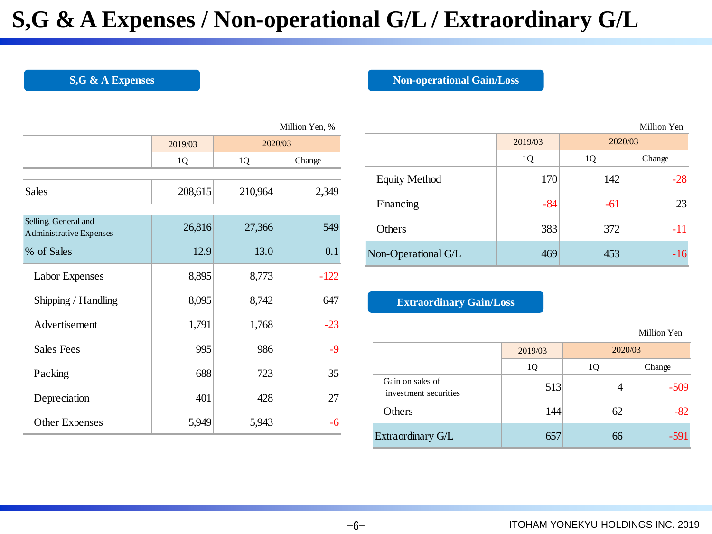## **S,G & A Expenses / Non-operational G/L / Extraordinary G/L**

#### **S,G & A Expenses Non-operational Gain/Loss**

|                                                 |         |         | Million Yen, % |
|-------------------------------------------------|---------|---------|----------------|
|                                                 | 2019/03 | 2020/03 |                |
|                                                 | 1Q      | 1Q      | Change         |
|                                                 |         |         |                |
| Sales                                           | 208,615 | 210,964 | 2,349          |
|                                                 |         |         |                |
| Selling, General and<br>Administrative Expenses | 26,816  | 27,366  | 549            |
| % of Sales                                      | 12.9    | 13.0    | 0.1            |
| Labor Expenses                                  | 8,895   | 8,773   | $-122$         |
| Shipping / Handling                             | 8,095   | 8,742   | 647            |
| Advertisement                                   | 1,791   | 1,768   | $-23$          |
| <b>Sales Fees</b>                               | 995     | 986     | -9             |
| Packing                                         | 688     | 723     | 35             |
| Depreciation                                    | 401     | 428     | 27             |
| <b>Other Expenses</b>                           | 5,949   | 5,943   | -6             |

|                  | Million Yen, % |                      |         |         | Million Yen |
|------------------|----------------|----------------------|---------|---------|-------------|
| 2020/03          |                |                      | 2019/03 | 2020/03 |             |
|                  | Change         |                      | 1Q      | 1Q      | Change      |
| 64               | 2,349          | <b>Equity Method</b> | 170     | 142     | $-28$       |
|                  |                | Financing            | $-84$   | $-61$   | 23          |
| 66               | 549            | Others               | 383     | 372     | $-11$       |
| $\overline{0.8}$ | 0.1            | Non-Operational G/L  | 469     | 453     | $-16$       |

### **Extraordinary Gain/Loss**

|                                           |         |    | Million Yen |
|-------------------------------------------|---------|----|-------------|
|                                           | 2019/03 |    | 2020/03     |
|                                           | 1Q      | 1Q | Change      |
| Gain on sales of<br>investment securities | 513     |    | $-509$      |
| Others                                    | 144     | 62 | $-82$       |
| Extraordinary G/L                         | 657     | 66 | $-591$      |

Million Yen

 $-6-$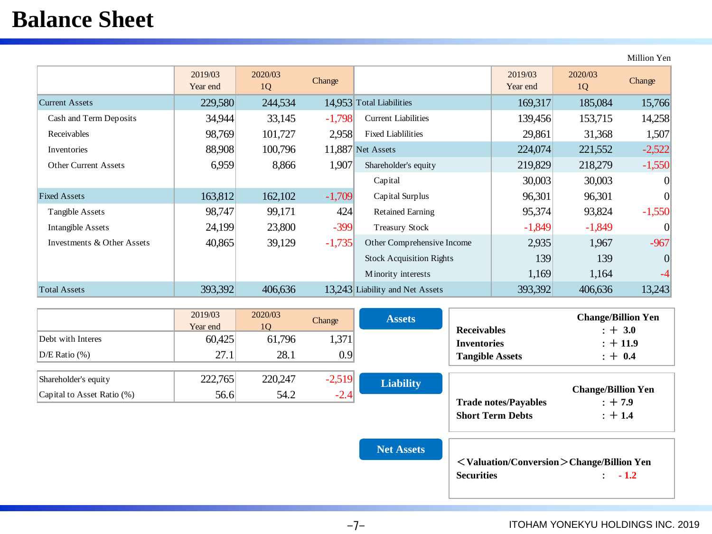## **Balance Sheet**

2019/03 Year end 2020/03  $\frac{20/03}{1Q}$  Change  $\frac{2019/03}{1Q}$ Year end 2020/03 2005 Change Current Assets 229,580 244,534 14,953 Total Liabilities 169,317 185,084 15,766 Cash and Term Deposits 14,258 34,944 33,145 -1,798 Current Liabilities 139,456 153,715 14,258 Receivables  $98,769$   $101,727$   $2,958$  Fixed Liablilities  $29,861$   $31,368$   $1,507$ Inventories 100,908 100,796 11,887 Net Assets 224,074 221,552 -2,522 Other Current Assets 6,959 8,866 1,907 Shareholder's equity 219,829 218,279 -1,550 Capital  $\begin{array}{|c|c|c|c|c|} \hline \text{Capital} & 30,003 & 30,003 & 0 \ \hline \end{array}$ Fixed Assets 163,812 162,102 -1,709 Capital Surplus 96,301 96,301 0 Tangible Assets  $98,747$   $99,171$   $424$  Retained Earning  $95,374$   $93,824$   $-1,550$ Intangible Assets 1 24,199 23,800 -399 Treasury Stock 1,849 -1,849 -1,849 0 Investments & Other Assets 40,865 39,129 -1,735 Other Comprehensive Income 2,935 1,967 -967 Stock Acquisition Rights 139 139 139 0 Minority interests  $1,169$   $1,164$ Total Assets 393,392 393,392 406,636 13,243 Liability and Net Assets 393,392 406,636 13,243

|                            | 2019/03<br>Year end | 2020/03<br>10 | Change   | <b>Assets</b>    | <b>Receivables</b>          | <b>Change/Billion Yen</b><br>$: + 3.0$ |
|----------------------------|---------------------|---------------|----------|------------------|-----------------------------|----------------------------------------|
| Debt with Interes          | 60,425              | 61,796        | 1,371    |                  | <b>Inventories</b>          | $: +11.9$                              |
| $D/E$ Ratio $(\%)$         | 27.1                | 28.1          | 0.9      |                  | <b>Tangible Assets</b>      | $: + 0.4$                              |
| Shareholder's equity       | 222,765             | 220,247       | $-2,519$ |                  |                             |                                        |
| Capital to Asset Ratio (%) | 56.6                | 54.2          | $-2.4$   | <b>Liability</b> |                             | <b>Change/Billion Yen</b>              |
|                            |                     |               |          |                  | <b>Trade notes/Payables</b> | $: +7.9$                               |

<**Valuation/Conversion**>**Change/Billion Yen Securities** : **- 1.2**

**Short Term Debts** : + 1.4

Million Yen

 $-7-$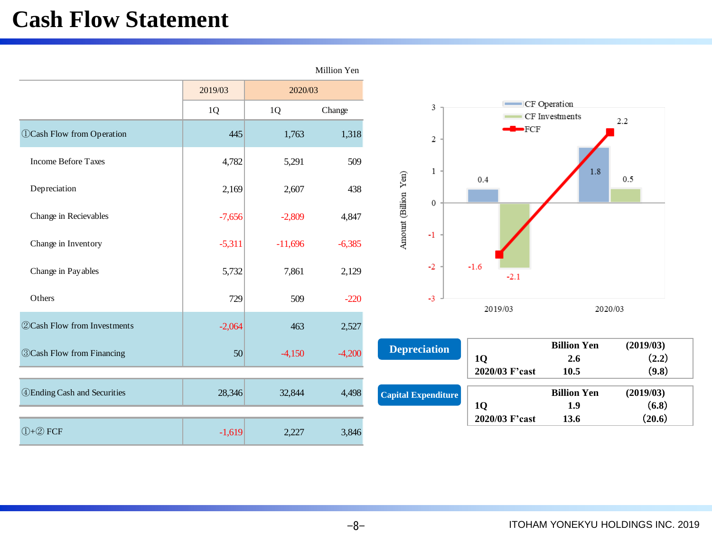## **Cash Flow Statement**

|                                         |          |           | Million Yen |                                     |                             |                                   |                             |
|-----------------------------------------|----------|-----------|-------------|-------------------------------------|-----------------------------|-----------------------------------|-----------------------------|
|                                         | 2019/03  | 2020/03   |             |                                     |                             |                                   |                             |
|                                         | 1Q       | 1Q        | Change      | 3                                   |                             | - CF Operation<br>CF Investments  | 2.2                         |
| <b><i>OCash Flow from Operation</i></b> | 445      | 1,763     | 1,318       | 2                                   | $-FCF$                      |                                   |                             |
| <b>Income Before Taxes</b>              | 4,782    | 5,291     | 509         | $\mathbf{1}$                        |                             | 1.8                               |                             |
| Depreciation                            | 2,169    | 2,607     | 438         | Amount (Billion Yen)<br>$\mathbf 0$ | 0.4                         |                                   | 0.5                         |
| Change in Recievables                   | $-7,656$ | $-2,809$  | 4,847       |                                     |                             |                                   |                             |
| Change in Inventory                     | $-5,311$ | $-11,696$ | $-6,385$    | $-1$                                |                             |                                   |                             |
| Change in Payables                      | 5,732    | 7,861     | 2,129       | $-2$                                | $-1.6$<br>$-2.1$            |                                   |                             |
| Others                                  | 729      | 509       | $-220$      | $-3$                                | 2019/03                     | 2020/03                           |                             |
| <b>22Cash Flow from Investments</b>     | $-2,064$ | 463       | 2,527       |                                     |                             |                                   |                             |
| <b>3 Cash Flow from Financing</b>       | 50       | $-4,150$  | $-4,200$    | <b>Depreciation</b>                 | <b>1Q</b><br>2020/03 F'cast | <b>Billion Yen</b><br>2.6<br>10.5 | (2019/03)<br>(2.2)<br>(9.8) |
| <b>4 Ending Cash and Securities</b>     | 28,346   | 32,844    | 4,498       | <b>Capital Expenditure</b>          | <b>1Q</b>                   | <b>Billion Yen</b><br>1.9         | (2019/03)<br>(6.8)          |
| $\bigoplus + \bigotimes$ FCF            | $-1,619$ | 2,227     | 3,846       |                                     | 2020/03 F'cast              | 13.6                              | (20.6)                      |

-8-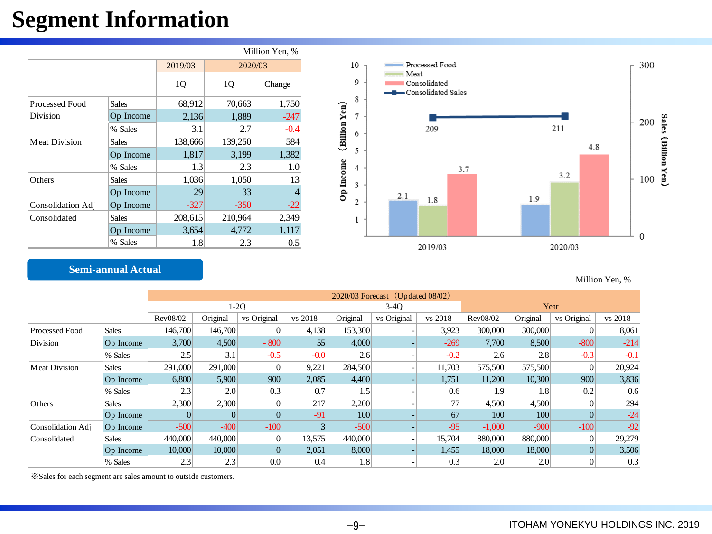## **Segment Information**

|                      |              |         |         | Million Yen, % |
|----------------------|--------------|---------|---------|----------------|
|                      |              | 2019/03 | 2020/03 |                |
|                      |              | 1Q      | 1Q      | Change         |
| Processed Food       | <b>Sales</b> | 68,912  | 70,663  | 1,750          |
| Division             | Op Income    | 2,136   | 1,889   | $-247$         |
|                      | % Sales      | 3.1     | 2.7     | $-0.4$         |
| <b>Meat Division</b> | <b>Sales</b> | 138,666 | 139,250 | 584            |
|                      | Op Income    | 1,817   | 3,199   | 1,382          |
|                      | % Sales      | 1.3     | 2.3     | 1.0            |
| Others               | <b>Sales</b> | 1,036   | 1,050   | 13             |
|                      | Op Income    | 29      | 33      |                |
| Consolidation Adj    | Op Income    | $-327$  | $-350$  | $-22$          |
| Consolidated         | <b>Sales</b> | 208,615 | 210,964 | 2,349          |
|                      | Op Income    | 3,654   | 4,772   | 1,117          |
|                      | % Sales      | 1.8     | 2.3     | 0.5            |



### **Semi-annual Actual**

Million Yen, %

|                   |              |          | $2020/03$ Forecast (Updated 08/02) |                  |         |          |             |         |          |          |             |         |
|-------------------|--------------|----------|------------------------------------|------------------|---------|----------|-------------|---------|----------|----------|-------------|---------|
|                   |              |          |                                    | $1-2Q$           |         |          | $3-40$      |         |          |          | Year        |         |
|                   |              | Rev08/02 | Original                           | vs Original      | vs 2018 | Original | vs Original | vs 2018 | Rev08/02 | Original | vs Original | vs 2018 |
| Processed Food    | <b>Sales</b> | 146,700  | 146,700                            | 0                | 4,138   | 153,300  |             | 3,923   | 300,000  | 300,000  |             | 8,061   |
| Division          | Op Income    | 3,700    | 4,500                              | $-800$           | 55      | 4,000    |             | $-269$  | 7,700    | 8,500    | $-800$      | $-214$  |
|                   | % Sales      | 2.5      | 3.1                                | $-0.5$           | $-0.0$  | 2.6      |             | $-0.2$  | 2.6      | 2.8      | $-0.3$      | $-0.1$  |
| Meat Division     | <b>Sales</b> | 291,000  | 291,000                            | $\overline{0}$   | 9,221   | 284,500  |             | 11,703  | 575,500  | 575,500  |             | 20,924  |
|                   | Op Income    | 6,800    | 5,900                              | 900              | 2,085   | 4,400    |             | 1,751   | 11,200   | 10,300   | 900         | 3,836   |
|                   | % Sales      | 2.3      | 2.0                                | 0.3              | 0.7     | 1.5      |             | 0.6     | 1.9      | 1.8      | 0.2         | 0.6     |
| Others            | Sales        | 2,300    | 2,300                              | 0                | 217     | 2,200    |             | 77      | 4,500    | 4,500    |             | 294     |
|                   | Op Income    | $\Omega$ |                                    |                  | $-91$   | 100      |             | 67      | 100      | 100      |             | $-24$   |
| Consolidation Adj | Op Income    | $-500$   | $-400$                             | $-100$           |         | $-500$   |             | $-95$   | $-1,000$ | $-900$   | $-100$      | $-92$   |
| Consolidated      | Sales        | 440,000  | 440,000                            | 0                | 13,575  | 440,000  |             | 15,704  | 880,000  | 880,000  |             | 29,279  |
|                   | Op Income    | 10,000   | 10,000                             |                  | 2,051   | 8,000    |             | 1,455   | 18,000   | 18,000   | $\Omega$    | 3,506   |
|                   | % Sales      | 2.3      | 2.3                                | 0.0 <sub>1</sub> | 0.4     | 1.8      |             | 0.3     | 2.0      | 2.0      |             | 0.3     |

※Sales for each segment are sales amount to outside customers.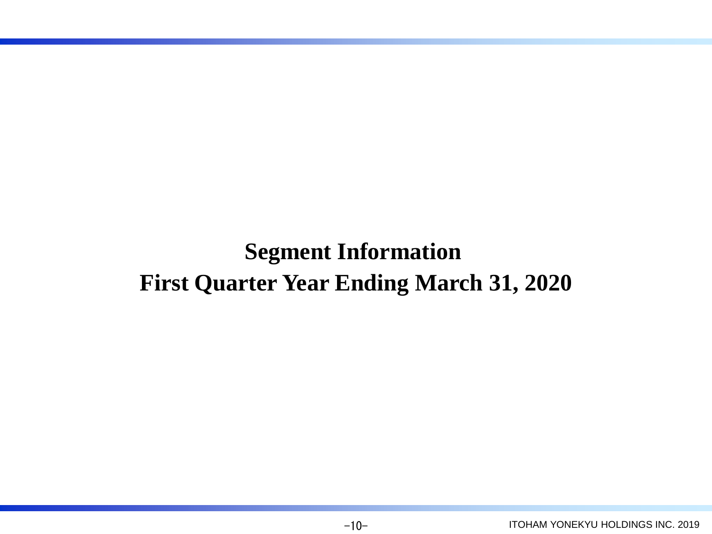**Segment Information First Quarter Year Ending March 31, 2020**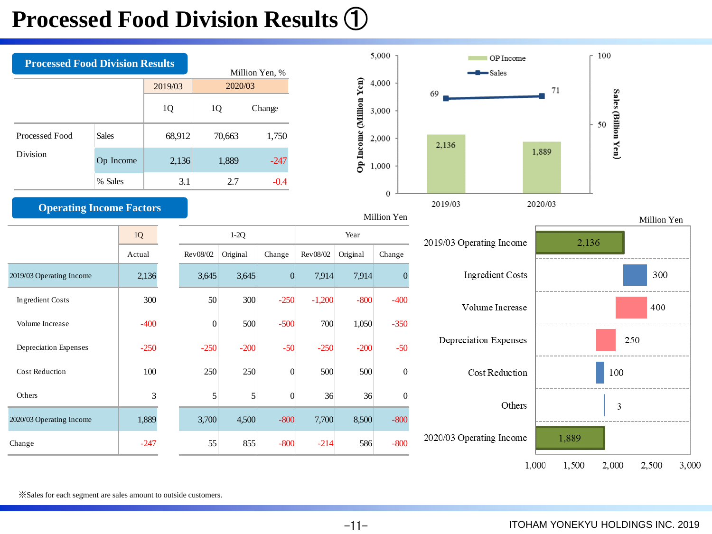## **Processed Food Division Results** ①



 $-11-$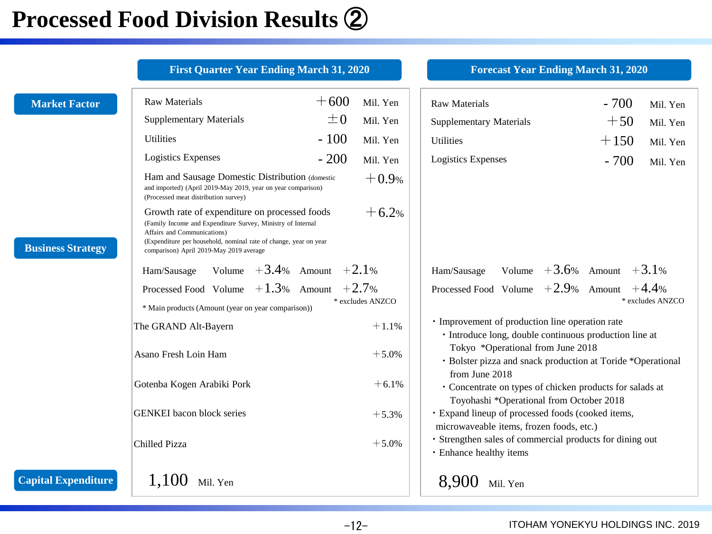## **Processed Food Division Results** ②

|                          | <b>First Quarter Year Ending March 31, 2020</b>                                                                                                                                                                                                            |         |                  | <b>Forecast Year Ending March 31, 2020</b>                                                                             |                    |
|--------------------------|------------------------------------------------------------------------------------------------------------------------------------------------------------------------------------------------------------------------------------------------------------|---------|------------------|------------------------------------------------------------------------------------------------------------------------|--------------------|
| <b>Market Factor</b>     | <b>Raw Materials</b>                                                                                                                                                                                                                                       | $+600$  | Mil. Yen         | <b>Raw Materials</b>                                                                                                   | $-700$<br>Mil. Yen |
|                          | <b>Supplementary Materials</b>                                                                                                                                                                                                                             | $\pm 0$ | Mil. Yen         | <b>Supplementary Materials</b>                                                                                         | $+50$<br>Mil. Yen  |
|                          | <b>Utilities</b>                                                                                                                                                                                                                                           | $-100$  | Mil. Yen         | <b>Utilities</b>                                                                                                       | $+150$<br>Mil. Yen |
|                          | <b>Logistics Expenses</b>                                                                                                                                                                                                                                  | $-200$  | Mil. Yen         | <b>Logistics Expenses</b>                                                                                              | $-700$<br>Mil. Yen |
|                          | Ham and Sausage Domestic Distribution (domestic<br>and imported) (April 2019-May 2019, year on year comparison)<br>(Processed meat distribution survey)                                                                                                    |         | $+0.9%$          |                                                                                                                        |                    |
| <b>Business Strategy</b> | Growth rate of expenditure on processed foods<br>(Family Income and Expenditure Survey, Ministry of Internal<br>Affairs and Communications)<br>(Expenditure per household, nominal rate of change, year on year<br>comparison) April 2019-May 2019 average |         | $+6.2%$          |                                                                                                                        |                    |
|                          | Ham/Sausage Volume $+3.4%$ Amount $+2.1%$                                                                                                                                                                                                                  |         | Ham/Sausage      | Volume $+3.6\%$ Amount $+3.1\%$                                                                                        |                    |
|                          | Processed Food Volume $+1.3\%$ Amount $+2.7\%$<br>* Main products (Amount (year on year comparison))                                                                                                                                                       |         | * excludes ANZCO | Processed Food Volume $+2.9%$ Amount $+4.4%$                                                                           | * excludes ANZCO   |
|                          | The GRAND Alt-Bayern                                                                                                                                                                                                                                       |         | $+1.1%$          | · Improvement of production line operation rate<br>· Introduce long, double continuous production line at              |                    |
|                          | Asano Fresh Loin Ham                                                                                                                                                                                                                                       |         | $+5.0%$          | Tokyo *Operational from June 2018<br>· Bolster pizza and snack production at Toride *Operational                       |                    |
|                          | Gotenba Kogen Arabiki Pork                                                                                                                                                                                                                                 |         | $+6.1%$          | from June 2018<br>• Concentrate on types of chicken products for salads at<br>Toyohashi *Operational from October 2018 |                    |
|                          | <b>GENKEI</b> bacon block series                                                                                                                                                                                                                           |         | $+5.3%$          | · Expand lineup of processed foods (cooked items,<br>microwaveable items, frozen foods, etc.)                          |                    |
|                          | Chilled Pizza                                                                                                                                                                                                                                              |         | $+5.0%$          | · Strengthen sales of commercial products for dining out<br>· Enhance healthy items                                    |                    |
| Capital Expenditure      | 1,100<br>Mil. Yen                                                                                                                                                                                                                                          |         |                  | 8,900 Mil. Yen                                                                                                         |                    |

-12- ITOHAM YONEKYU HOLDINGS INC. 2019

**Capital**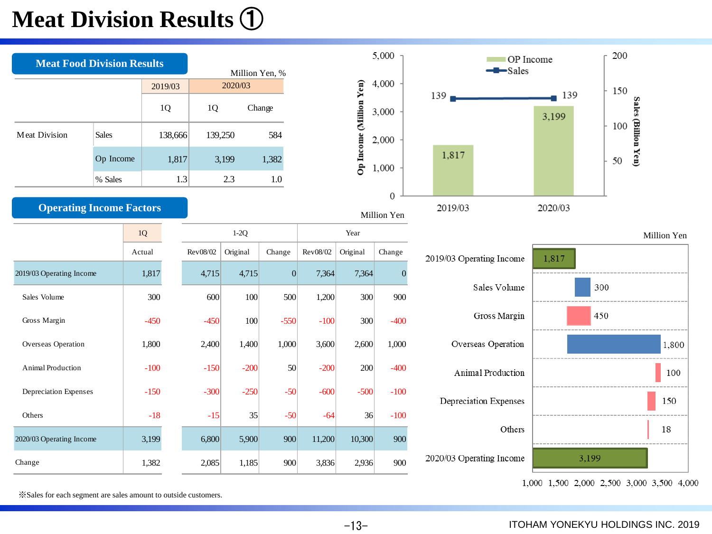## **Meat Division Results** ①

| <b>Meat Food Division Results</b> |              |            |         |          | Million Yen, % |         |          |                         | 5,000                           |                  | OP Income<br>-Sales      |         |       | 200 |                     |             |
|-----------------------------------|--------------|------------|---------|----------|----------------|---------|----------|-------------------------|---------------------------------|------------------|--------------------------|---------|-------|-----|---------------------|-------------|
|                                   |              |            | 2019/03 |          | 2020/03        |         |          |                         | 4,000                           |                  |                          | 139     |       | 150 |                     |             |
|                                   |              |            | 1Q      | 1Q       |                | Change  |          | Op Income (Million Yen) | 3,000                           | 139 <sub>1</sub> |                          | 3,199   |       |     | Sales (Billion Yen) |             |
| <b>Meat Division</b>              | <b>Sales</b> |            | 138,666 | 139,250  |                | 584     |          |                         | 2,000                           |                  |                          |         |       | 100 |                     |             |
|                                   | Op Income    |            | 1,817   |          | 3,199          | 1,382   |          |                         | 1,000                           | 1,817            |                          |         |       | 50  |                     |             |
|                                   | % Sales      |            | 1.3     |          | 2.3            | $1.0\,$ |          |                         |                                 |                  |                          |         |       |     |                     |             |
| <b>Operating Income Factors</b>   |              |            |         |          |                |         |          |                         | $\boldsymbol{0}$<br>Million Yen | 2019/03          |                          | 2020/03 |       |     |                     |             |
|                                   |              | $1{\rm Q}$ |         |          | $1-2Q$         |         |          | Year                    |                                 |                  |                          |         |       |     |                     | Million Yen |
|                                   |              | Actual     |         | Rev08/02 | Original       | Change  | Rev08/02 | Original                | Change                          |                  | 2019/03 Operating Income | 1,817   |       |     |                     |             |
| 2019/03 Operating Income          |              | 1,817      |         | 4,715    | 4,715          | 0       | 7,364    | 7,364                   | $\overline{0}$                  |                  |                          |         |       |     |                     |             |
| Sales Volume                      |              | 300        |         | 600      | 100            | 500     | 1,200    | 300                     | 900                             |                  | Sales Volume             |         | 300   |     |                     |             |
| Gross Margin                      |              | $-450$     |         | $-450$   | 100            | $-550$  | $-100$   | 300                     | $-400$                          |                  | Gross Margin             |         | 450   |     |                     |             |
| Overseas Operation                |              | 1,800      |         | 2,400    | 1,400          | 1,000   | 3,600    | 2,600                   | 1,000                           |                  | Overseas Operation       |         |       |     |                     | 1,800       |
| <b>Animal Production</b>          |              | $-100$     |         | $-150$   | $-200$         | 50      | $-200$   | 200                     | $-400$                          |                  | Animal Production        |         |       |     |                     | 100         |
| Depreciation Expenses             |              | $-150$     |         | $-300$   | $-250$         | $-50$   | $-600$   | $-500$                  | $-100$                          |                  | Depreciation Expenses    |         |       |     |                     | 150         |
| Others                            |              | $-18$      |         | $-15$    | 35             | $-50$   | $-64$    | 36                      | $-100$                          |                  |                          |         |       |     |                     |             |
| 2020/03 Operating Income          |              | 3,199      |         | 6,800    | 5,900          | 900     | 11,200   | 10,300                  | 900                             |                  | Others                   |         |       |     |                     | 18          |
| Change                            |              | 1,382      |         | 2,085    | 1,185          | 900     | 3,836    | 2,936                   | 900                             |                  | 2020/03 Operating Income |         | 3,199 |     |                     |             |

1,000 1,500 2,000 2,500 3,000 3,500 4,000

※Sales for each segment are sales amount to outside customers.

 $-13-$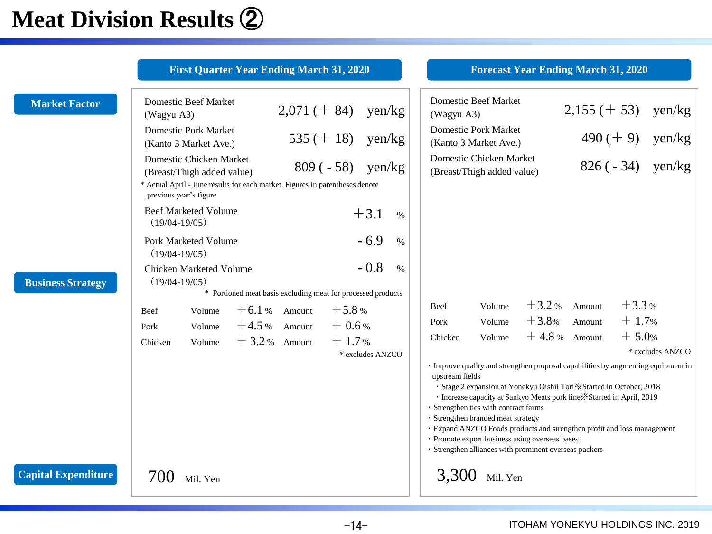## **Meat Division Results** ②

|                            | <b>First Quarter Year Ending March 31, 2020</b>                                                                                                                                                                                                                                                                                                                                                                                          | <b>Forecast Year Ending March 31, 2020</b>                                                                                                                                                                                                                                                                                                                                                                                                                                                                                                                                                                                                                                                                   |
|----------------------------|------------------------------------------------------------------------------------------------------------------------------------------------------------------------------------------------------------------------------------------------------------------------------------------------------------------------------------------------------------------------------------------------------------------------------------------|--------------------------------------------------------------------------------------------------------------------------------------------------------------------------------------------------------------------------------------------------------------------------------------------------------------------------------------------------------------------------------------------------------------------------------------------------------------------------------------------------------------------------------------------------------------------------------------------------------------------------------------------------------------------------------------------------------------|
| <b>Market Factor</b>       | <b>Domestic Beef Market</b><br>$2,071 (+ 84)$<br>yen/kg<br>(Wagyu A3)<br><b>Domestic Pork Market</b><br>$535 (+ 18)$<br>$\gamma$ en/kg<br>(Kanto 3 Market Ave.)<br>Domestic Chicken Market<br>$809(-58)$ yen/kg<br>(Breast/Thigh added value)<br>* Actual April - June results for each market. Figures in parentheses denote<br>previous year's figure                                                                                  | <b>Domestic Beef Market</b><br>$2,155 (+ 53)$<br>yen/kg<br>(Wagyu A3)<br><b>Domestic Pork Market</b><br>$490 (+ 9)$<br>yen/kg<br>(Kanto 3 Market Ave.)<br>Domestic Chicken Market<br>$826(-34)$<br>yen/kg<br>(Breast/Thigh added value)                                                                                                                                                                                                                                                                                                                                                                                                                                                                      |
| <b>Business Strategy</b>   | <b>Beef Marketed Volume</b><br>$+3.1$<br>$\%$<br>$(19/04-19/05)$<br>$-6.9$<br>Pork Marketed Volume<br>$\%$<br>$(19/04-19/05)$<br>$-0.8$<br>$\%$<br>Chicken Marketed Volume<br>$(19/04-19/05)$<br>* Portioned meat basis excluding meat for processed products<br>$+6.1%$ Amount<br>$+5.8%$<br>Volume<br><b>Beef</b><br>$+4.5%$ Amount<br>$+0.6%$<br>Volume<br>Pork<br>$+1.7%$<br>$+3.2%$ Amount<br>Volume<br>Chicken<br>* excludes ANZCO | $+3.3%$<br>$+3.2%$<br>Amount<br>Volume<br><b>Beef</b><br>$+3.8%$<br>$+1.7%$<br>Amount<br>Volume<br>Pork<br>$+4.8%$ Amount<br>$+5.0%$<br>Volume<br>Chicken<br>* excludes ANZCO<br>• Improve quality and strengthen proposal capabilities by augmenting equipment in<br>upstream fields<br>· Stage 2 expansion at Yonekyu Oishii Tori *Started in October, 2018<br>· Increase capacity at Sankyo Meats pork line *Started in April, 2019<br>· Strengthen ties with contract farms<br>· Strengthen branded meat strategy<br>· Expand ANZCO Foods products and strengthen profit and loss management<br>· Promote export business using overseas bases<br>· Strengthen alliances with prominent overseas packers |
| <b>Capital Expenditure</b> | 700<br>Mil. Yen                                                                                                                                                                                                                                                                                                                                                                                                                          | 3,300<br>Mil. Yen                                                                                                                                                                                                                                                                                                                                                                                                                                                                                                                                                                                                                                                                                            |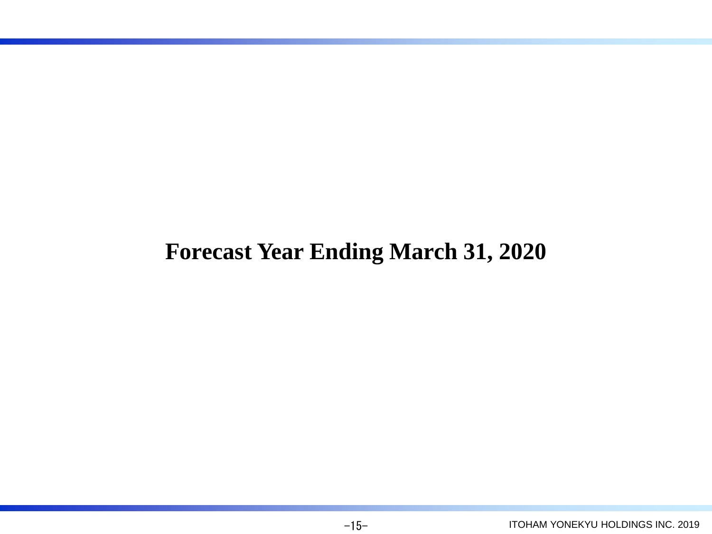## **Forecast Year Ending March 31, 2020**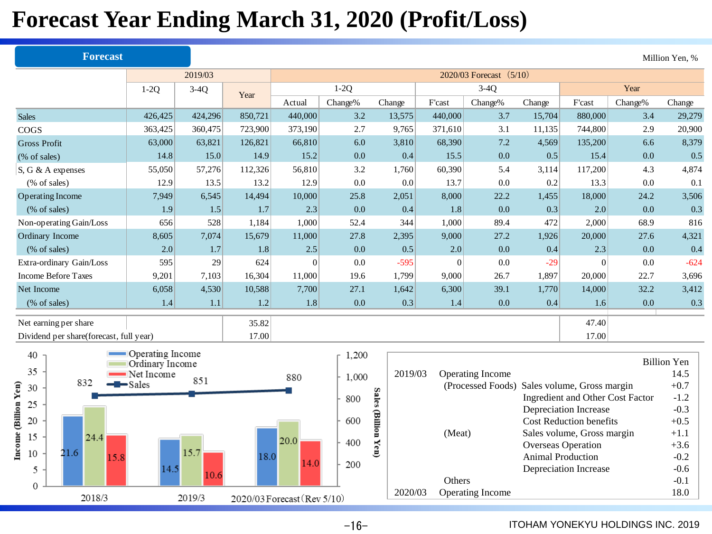## **Forecast Year Ending March 31, 2020 (Profit/Loss)**

|                                         | <b>Forecast</b> |                                     |         |         |                             |         |                     |                |                                              |                          |                                                  |         | Million Yen, %     |  |  |
|-----------------------------------------|-----------------|-------------------------------------|---------|---------|-----------------------------|---------|---------------------|----------------|----------------------------------------------|--------------------------|--------------------------------------------------|---------|--------------------|--|--|
|                                         |                 |                                     | 2019/03 |         |                             |         |                     |                | 2020/03 Forecast (5/10)                      |                          |                                                  |         |                    |  |  |
|                                         |                 | $1-2Q$                              | $3-4Q$  | Year    |                             | $1-2Q$  |                     |                | $3-4Q$                                       |                          |                                                  | Year    |                    |  |  |
|                                         |                 |                                     |         |         | Actual                      | Change% | Change              | F'cast         | Change%                                      | Change                   | F'cast                                           | Change% | Change             |  |  |
| <b>Sales</b>                            |                 | 426,425                             | 424,296 | 850,721 | 440,000                     | 3.2     | 13,575              | 440,000        | 3.7                                          | 15,704                   | 880,000                                          | 3.4     | 29,279             |  |  |
| COGS                                    |                 | 363,425                             | 360,475 | 723,900 | 373,190                     | 2.7     | 9.765               | 371,610        | 3.1                                          | 11,135                   | 744,800                                          | 2.9     | 20,900             |  |  |
| <b>Gross Profit</b>                     |                 | 63,000                              | 63,821  | 126,821 | 66,810                      | 6.0     | 3,810               | 68,390         | 7.2                                          | 4,569                    | 135,200                                          | 6.6     | 8,379              |  |  |
| (% of sales)                            |                 | 14.8                                | 15.0    | 14.9    | 15.2                        | 0.0     | 0.4                 | 15.5           | 0.0                                          | 0.5                      | 15.4                                             | 0.0     | 0.5                |  |  |
| S, G & A expenses                       |                 | 55,050                              | 57,276  | 112,326 | 56,810                      | 3.2     | 1,760               | 60,390         | 5.4                                          | 3,114                    | 117,200                                          | 4.3     | 4,874              |  |  |
| (% of sales)                            |                 | 12.9                                | 13.5    | 13.2    | 12.9                        | 0.0     | 0.0                 | 13.7           | 0.0                                          | 0.2                      | 13.3                                             | 0.0     | 0.1                |  |  |
| Operating Income                        |                 | 7,949                               | 6,545   | 14,494  | 10,000                      | 25.8    | 2,051               | 8,000          | 22.2                                         | 1,455                    | 18,000                                           | 24.2    | 3,506              |  |  |
| (% of sales)                            |                 | 1.9                                 | 1.5     | 1.7     | 2.3                         | 0.0     | 0.4                 | 1.8            | 0.0                                          | 0.3                      | 2.0                                              | 0.0     | 0.3                |  |  |
| Non-operating Gain/Loss                 |                 | 656                                 | 528     | 1,184   | 1,000                       | 52.4    | 344                 | 1,000          | 89.4                                         | 472                      | 2,000                                            | 68.9    | 816                |  |  |
| Ordinary Income                         |                 | 8,605                               | 7,074   | 15,679  | 11,000                      | 27.8    | 2,395               | 9,000          | 27.2                                         | 1,926                    | 20,000                                           | 27.6    | 4,321              |  |  |
| (% of sales)                            |                 | 2.0                                 | 1.7     | 1.8     | 2.5                         | 0.0     | 0.5                 | 2.0            | 0.0                                          | 0.4                      | 2.3                                              | 0.0     | 0.4                |  |  |
| Extra-ordinary Gain/Loss                |                 | 595                                 | 29      | 624     | $\vert 0 \vert$             | 0.0     | $-595$              | $\overline{0}$ | 0.0                                          | $-29$                    | $\Omega$                                         | 0.0     | $-624$             |  |  |
| <b>Income Before Taxes</b>              |                 | 9,201                               | 7,103   | 16,304  | 11,000                      | 19.6    | 1,799               | 9,000          | 26.7                                         | 1,897                    | 20,000                                           | 22.7    | 3,696              |  |  |
| Net Income                              |                 | 6,058                               | 4,530   | 10,588  | 7,700                       | 27.1    | 1,642               | 6,300          | 39.1                                         | 1,770                    | 14,000                                           | 32.2    | 3,412              |  |  |
| (% of sales)                            |                 | 1.4                                 | 1.1     | 1.2     | 1.8                         | 0.0     | 0.3                 | 1.4            | 0.0                                          | 0.4                      | 1.6                                              | 0.0     | 0.3                |  |  |
| Net earning per share                   |                 |                                     |         | 35.82   |                             |         |                     |                |                                              |                          | 47.40                                            |         |                    |  |  |
| Dividend per share(forecast, full year) |                 |                                     |         | 17.00   |                             |         |                     |                |                                              |                          | 17.00                                            |         |                    |  |  |
|                                         |                 |                                     |         |         |                             |         |                     |                |                                              |                          |                                                  |         |                    |  |  |
| 40                                      |                 | Operating Income<br>Ordinary Income |         |         |                             | 1,200   |                     |                |                                              |                          |                                                  |         | <b>Billion Yen</b> |  |  |
| 35                                      |                 | Net Income                          |         |         | 880                         | 1,000   | 2019/03             |                | Operating Income                             |                          |                                                  |         | 14.5               |  |  |
| Yen)<br>30                              | 832             | $\blacktriangleright$ Sales         | 851     |         |                             |         |                     |                | (Processed Foods) Sales volume, Gross margin |                          |                                                  |         | $+0.7$             |  |  |
| 25                                      |                 |                                     |         |         |                             | 800     | Sales (Billion Yen) |                |                                              |                          | Ingredient and Other Cost Factor                 |         | $-1.2$             |  |  |
| <b>Toulis</b>                           |                 |                                     |         |         |                             |         |                     |                |                                              |                          | <b>Depreciation Increase</b>                     |         | $-0.3$             |  |  |
| 20                                      |                 |                                     |         |         |                             | 600     |                     |                |                                              |                          | Cost Reduction benefits                          |         | $+0.5$             |  |  |
| 15                                      | 24.4            |                                     |         |         | 20.0                        | 400     |                     | (Meat)         |                                              |                          | Sales volume, Gross margin<br>Overseas Operation |         | $+1.1$<br>$+3.6$   |  |  |
| $n_{\rm{cone}}$<br>21.6<br>10           | 15.8            |                                     | 15.7    | 18.0    |                             |         |                     |                |                                              | <b>Animal Production</b> |                                                  |         | $-0.2$             |  |  |
| 5                                       |                 | 14.5                                |         |         | 14.0                        | 200     |                     |                |                                              |                          | Depreciation Increase                            |         | $-0.6$             |  |  |
|                                         |                 |                                     | 10.6    |         |                             |         |                     | Others         |                                              |                          |                                                  |         |                    |  |  |
| 0                                       | 2018/3          |                                     | 2019/3  |         | 2020/03 Forecast (Rev 5/10) |         | 2020/03             |                | Operating Income                             |                          |                                                  |         | $-0.1$<br>18.0     |  |  |
|                                         |                 |                                     |         |         |                             |         |                     |                |                                              |                          |                                                  |         |                    |  |  |

 $-16-$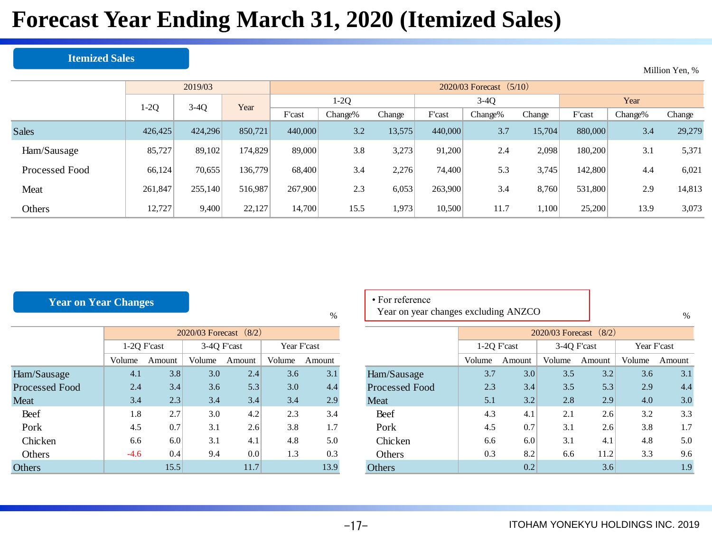## **Forecast Year Ending March 31, 2020 (Itemized Sales)**

#### **Itemized Sales**

|                |         | 2019/03 |         |         | $2020/03$ Forecast $(5/10)$ |        |         |         |        |         |         |        |  |  |
|----------------|---------|---------|---------|---------|-----------------------------|--------|---------|---------|--------|---------|---------|--------|--|--|
|                | $1-2Q$  | $3-4Q$  | Year    |         | 1-2Q                        |        |         | $3-4Q$  |        | Year    |         |        |  |  |
|                |         |         |         | F'cast  | Change%                     | Change | F'cast  | Change% | Change | F'cast  | Change% | Change |  |  |
| <b>Sales</b>   | 426,425 | 424,296 | 850,721 | 440,000 | 3.2                         | 13,575 | 440,000 | 3.7     | 15,704 | 880,000 | 3.4     | 29,279 |  |  |
| Ham/Sausage    | 85,727  | 89,102  | 174,829 | 89,000  | 3.8                         | 3,273  | 91,200  | 2.4     | 2,098  | 180,200 | 3.1     | 5,371  |  |  |
| Processed Food | 66,124  | 70,655  | 136,779 | 68,400  | 3.4                         | 2,276  | 74,400  | 5.3     | 3,745  | 142,800 | 4.4     | 6,021  |  |  |
| Meat           | 261,847 | 255,140 | 516,987 | 267,900 | 2.3                         | 6,053  | 263,900 | 3.4     | 8,760  | 531,800 | 2.9     | 14,813 |  |  |
| Others         | 12,727  | 9,400   | 22,127  | 14,700  | 15.5                        | 1,973  | 10.500  | 11.7    | 1,100  | 25,200  | 13.9    | 3,073  |  |  |

### **Year on Year Changes**

|                       |             | 2020/03 Forecast (8/2) |             |        |             |        |  |  |  |  |  |  |  |
|-----------------------|-------------|------------------------|-------------|--------|-------------|--------|--|--|--|--|--|--|--|
|                       | 1-2Q F'cast |                        | 3-40 F'cast |        | Year F'cast |        |  |  |  |  |  |  |  |
|                       | Volume      | Amount                 | Volume      | Amount | Volume      | Amount |  |  |  |  |  |  |  |
| Ham/Sausage           | 4.1         | 3.8                    | 3.0         | 2.4    | 3.6         | 3.1    |  |  |  |  |  |  |  |
| <b>Processed Food</b> | 2.4         | 3.4                    | 3.6         | 5.3    | 3.0         | 4.4    |  |  |  |  |  |  |  |
| <b>Meat</b>           | 3.4         | 2.3                    | 3.4         | 3.4    | 3.4         | 2.9    |  |  |  |  |  |  |  |
| Beef                  | 1.8         | 2.7                    | 3.0         | 4.2    | 2.3         | 3.4    |  |  |  |  |  |  |  |
| Pork                  | 4.5         | 0.7                    | 3.1         | 2.6    | 3.8         | 1.7    |  |  |  |  |  |  |  |
| <b>Chicken</b>        | 6.6         | 6.0                    | 3.1         | 4.1    | 4.8         | 5.0    |  |  |  |  |  |  |  |
| Others                | $-4.6$      | 0.4                    | 9.4         | 0.0    | 1.3         | 0.3    |  |  |  |  |  |  |  |
| Others                |             | 15.5                   |             | 11.7   |             | 13.9   |  |  |  |  |  |  |  |

### • For reference

 $\%$ 

Year on year changes excluding ANZCO

%

Million Yen, %

|                |             | $2020/03$ Forecast $(8/2)$ |             |        |             |        |  |  |  |  |  |
|----------------|-------------|----------------------------|-------------|--------|-------------|--------|--|--|--|--|--|
|                | 1-2Q F'cast |                            | 3-4Q F'cast |        | Year F'cast |        |  |  |  |  |  |
|                | Volume      | Amount                     | Volume      | Amount | Volume      | Amount |  |  |  |  |  |
| Ham/Sausage    | 3.7         | 3.0                        | 3.5         | 3.2    | 3.6         | 3.1    |  |  |  |  |  |
| Processed Food | 2.3         | 3.4                        | 3.5         | 5.3    | 2.9         | 4.4    |  |  |  |  |  |
| Meat           | 5.1         | 3.2                        | 2.8         | 2.9    | 4.0         | 3.0    |  |  |  |  |  |
| Beef           | 4.3         | 4.1                        | 2.1         | 2.6    | 3.2         | 3.3    |  |  |  |  |  |
| Pork           | 4.5         | 0.7                        | 3.1         | 2.6    | 3.8         | 1.7    |  |  |  |  |  |
| <b>Chicken</b> | 6.6         | 6.0                        | 3.1         | 4.1    | 4.8         | 5.0    |  |  |  |  |  |
| Others         | 0.3         | 8.2                        | 6.6         | 11.2   | 3.3         | 9.6    |  |  |  |  |  |
| <b>Others</b>  |             | 0.2                        | 3.6         |        | 1.9         |        |  |  |  |  |  |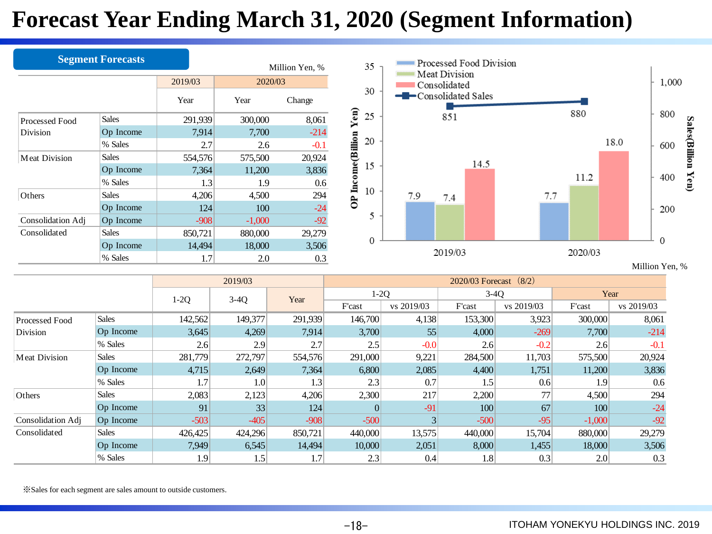## **Forecast Year Ending March 31, 2020 (Segment Information)**

|                      | <b>Segment Forecasts</b> |                 |                 | Million Yen, % |
|----------------------|--------------------------|-----------------|-----------------|----------------|
|                      |                          | 2019/03<br>Year | 2020/03<br>Year | Change         |
| Processed Food       | <b>Sales</b>             | 291,939         | 300,000         | 8,061          |
| Division             | Op Income                | 7,914           | 7,700           | $-214$         |
|                      | % Sales                  | 2.7             | 2.6             | $-0.1$         |
| <b>Meat Division</b> | <b>Sales</b>             | 554,576         | 575,500         | 20,924         |
|                      | Op Income<br>% Sales     | 7,364<br>1.3    | 11,200<br>1.9   | 3,836<br>0.6   |
| Others               | <b>Sales</b>             | 4,206           | 4,500           | 294            |
|                      | Op Income                | 124             | 100             | $-24$          |
| Consolidation Adj    | Op Income                | $-908$          | $-1,000$        | $-92$          |
| Consolidated         | Sales                    | 850,721         | 880,000         | 29,279         |
|                      | Op Income                | 14,494          | 18,000          | 3,506          |
|                      | % Sales                  | 1.7             | 2.0             | 0.3            |

|                      |                  |         | 2019/03 |         | $2020/03$ Forecast $(8/2)$ |              |         |            |                  |            |  |  |  |
|----------------------|------------------|---------|---------|---------|----------------------------|--------------|---------|------------|------------------|------------|--|--|--|
|                      |                  | $1-2Q$  | $3-4Q$  | Year    | $1-2Q$                     |              | $3-4Q$  |            |                  | Year       |  |  |  |
|                      |                  |         |         |         | F'cast                     | vs 2019/03   | F'cast  | vs 2019/03 | F'cast           | vs 2019/03 |  |  |  |
| Processed Food       | <b>Sales</b>     | 142,562 | 149,377 | 291,939 | 146,700                    | 4,138        | 153,300 | 3,923      | 300,000          | 8,061      |  |  |  |
| Division             | <b>Op</b> Income | 3,645   | 4,269   | 7,914   | 3,700                      | 55           | 4,000   | $-269$     | 7,700            | $-214$     |  |  |  |
|                      | % Sales          | 2.6     | 2.9     | 2.7     | 2.5                        | $-0.0$       | 2.6     | $-0.2$     | 2.6              | $-0.1$     |  |  |  |
| <b>Meat Division</b> | <b>Sales</b>     | 281,779 | 272,797 | 554,576 | 291,000                    | 9,221        | 284,500 | 11,703     | 575,500          | 20,924     |  |  |  |
|                      | Op Income        | 4,715   | 2,649   | 7,364   | 6,800                      | 2,085        | 4,400   | 1,751      | 11,200           | 3,836      |  |  |  |
|                      | % Sales          | 1.7     | 1.0     | 1.3     | 2.3                        | 0.7          | 1.5     | 0.6        | 1.9 <sup>°</sup> | 0.6        |  |  |  |
| Others               | <b>Sales</b>     | 2,083   | 2,123   | 4,206   | 2,300                      | 217          | 2,200   | 77         | 4,500            | 294        |  |  |  |
|                      | Op Income        | 91      | 33      | 124     |                            | $-91$        | 100     | 67         | 100              | $-24$      |  |  |  |
| Consolidation Adj    | Op Income        | $-503$  | $-405$  | $-908$  | $-500$                     | $\mathbf{3}$ | $-500$  | $-95$      | $-1,000$         | $-92$      |  |  |  |
| Consolidated         | <b>Sales</b>     | 426,425 | 424,296 | 850,721 | 440,000                    | 13,575       | 440,000 | 15,704     | 880,000          | 29,279     |  |  |  |
|                      | Op Income        | 7,949   | 6,545   | 14,494  | 10,000                     | 2,051        | 8,000   | 1,455      | 18,000           | 3,506      |  |  |  |
|                      | % Sales          | 1.9     | 1.5     | 1.7     | 2.3                        | 0.4          | 1.8     | 0.3        | 2.0              | 0.3        |  |  |  |

※Sales for each segment are sales amount to outside customers.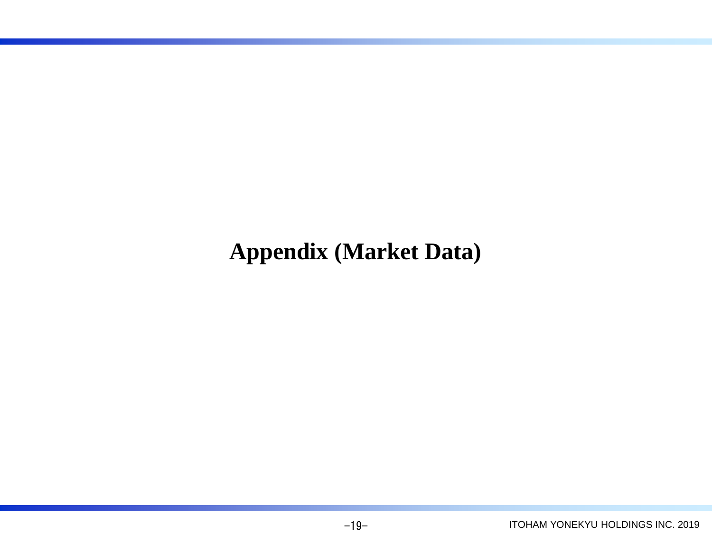## **Appendix (Market Data)**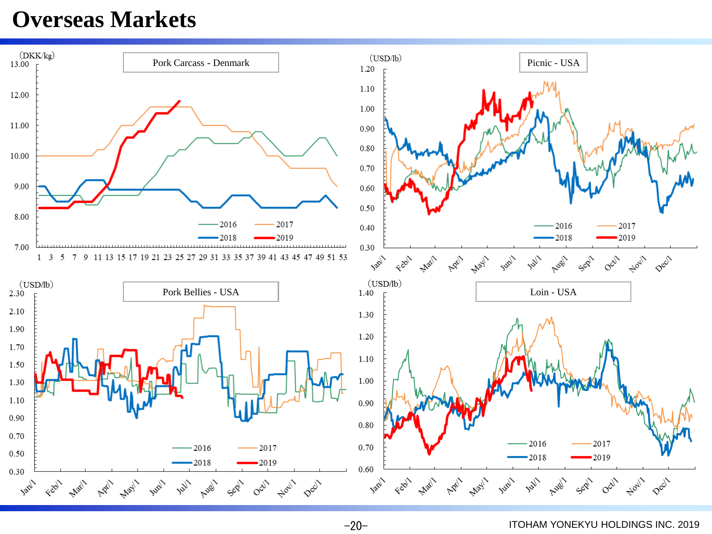### **Overseas Markets**

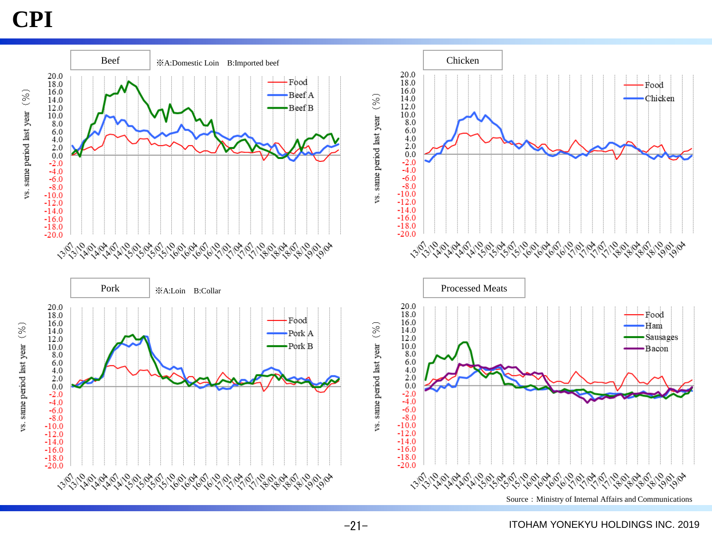### **CPI**

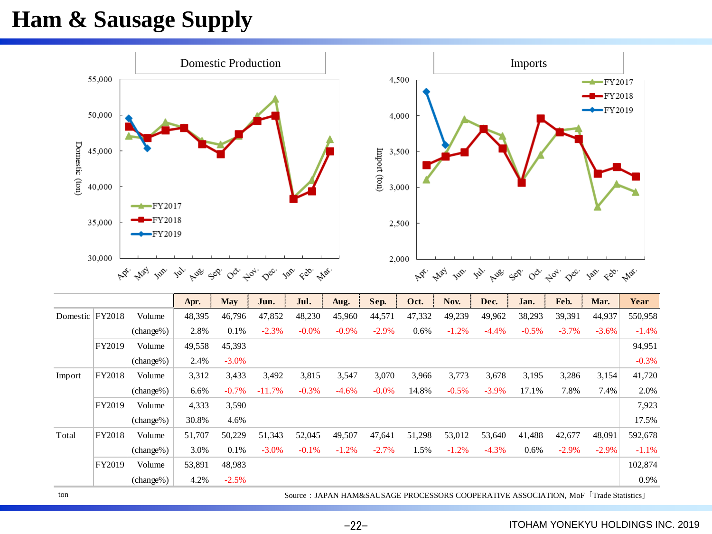## **Ham & Sausage Supply**



ton Source:JAPAN HAM&SAUSAGE PROCESSORS COOPERATIVE ASSOCIATION, MoF「Trade Statistics」

 $-22-$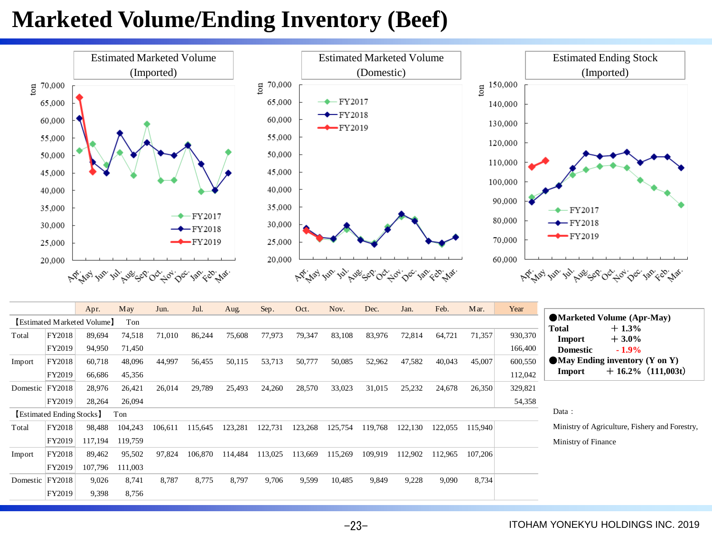## **Marketed Volume/Ending Inventory (Beef)**



|                 |                           | Apr.                        | <b>May</b> | Jun.    | Jul.    | Aug.    | Sep.    | Oct.    | Nov.    | Dec.    | Jan.    | Feb.    | Mar.    | Year    |                                                |
|-----------------|---------------------------|-----------------------------|------------|---------|---------|---------|---------|---------|---------|---------|---------|---------|---------|---------|------------------------------------------------|
|                 |                           | [Estimated Marketed Volume] | Ton        |         |         |         |         |         |         |         |         |         |         |         | • Marketed Volume (Apr-May)                    |
| Total           | FY2018                    | 89,694                      | 74,518     | 71,010  | 86,244  | 75,608  | 77,973  | 79,347  | 83,108  | 83,976  | 72,814  | 64,721  | 71,357  | 930,370 | $+1.3%$<br><b>Total</b><br>$+3.0\%$<br>Import  |
|                 | FY2019                    | 94,950                      | 71,450     |         |         |         |         |         |         |         |         |         |         | 166,400 | $-1.9\%$<br><b>Domestic</b>                    |
| Import          | FY2018                    | 60,718                      | 48,096     | 44,997  | 56,455  | 50,115  | 53,713  | 50,777  | 50,085  | 52,962  | 47,582  | 40,043  | 45,007  | 600,550 | $\blacksquare$ May Ending inventory (Y on Y)   |
|                 | FY2019                    | 66,686                      | 45,356     |         |         |         |         |         |         |         |         |         |         | 112,042 | $+16.2\%$ (111,003t)<br>Import                 |
| Domestic FY2018 |                           | 28,976                      | 26,421     | 26,014  | 29,789  | 25,493  | 24,260  | 28,570  | 33,023  | 31,015  | 25,232  | 24,678  | 26,350  | 329,821 |                                                |
|                 | FY2019                    | 28,264                      | 26,094     |         |         |         |         |         |         |         |         |         |         | 54,358  |                                                |
|                 | [Estimated Ending Stocks] |                             | Ton        |         |         |         |         |         |         |         |         |         |         |         | Data:                                          |
| Total           | FY2018                    | 98,488                      | 104,243    | 106,611 | 115,645 | 123,281 | 122,731 | 123,268 | 125,754 | 119,768 | 122,130 | 122,055 | 115,940 |         | Ministry of Agriculture, Fishery and Forestry. |
|                 | FY2019                    | 117,194                     | 119,759    |         |         |         |         |         |         |         |         |         |         |         | Ministry of Finance                            |
| Import          | FY2018                    | 89,462                      | 95,502     | 97,824  | 106,870 | 114,484 | 113,025 | 113,669 | 115,269 | 109,919 | 112,902 | 112,965 | 107,206 |         |                                                |
|                 | FY2019                    | 107,796                     | 111,003    |         |         |         |         |         |         |         |         |         |         |         |                                                |
| Domestic        | <b>FY2018</b>             | 9,026                       | 8,741      | 8,787   | 8,775   | 8,797   | 9,706   | 9,599   | 10,485  | 9,849   | 9,228   | 9,090   | 8,734   |         |                                                |
|                 | FY2019                    | 9,398                       | 8,756      |         |         |         |         |         |         |         |         |         |         |         |                                                |

-23-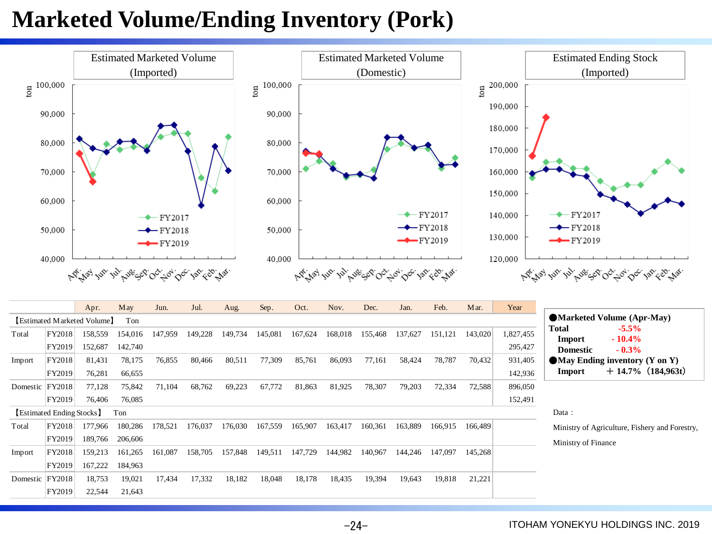## **Marketed Volume/Ending Inventory (Pork)**



 $-24-$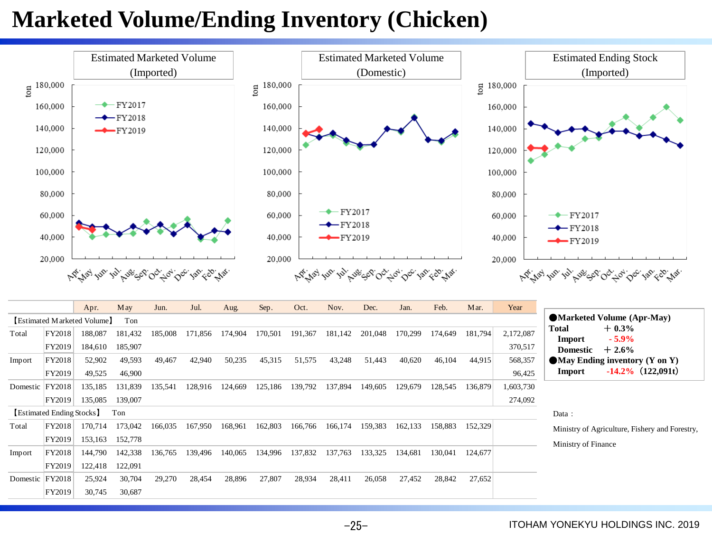## **Marketed Volume/Ending Inventory (Chicken)**



 $-25-$